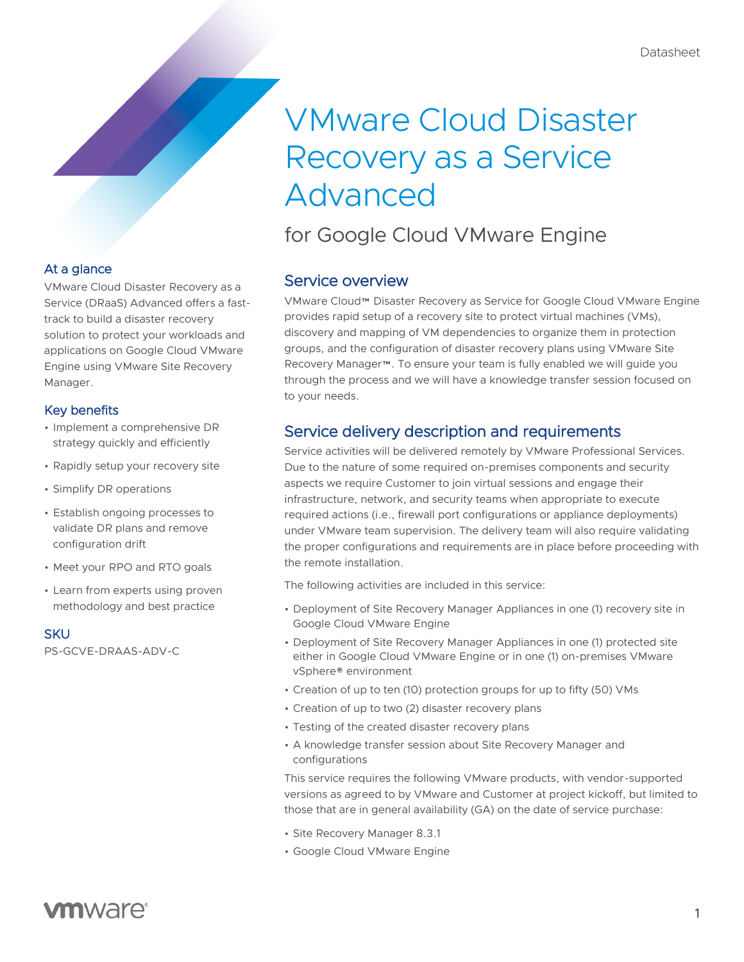# VMware Cloud Disaster Recovery as a Service Advanced

# for Google Cloud VMware Engine

# Service overview

VMware Cloud™ Disaster Recovery as Service for Google Cloud VMware Engine provides rapid setup of a recovery site to protect virtual machines (VMs), discovery and mapping of VM dependencies to organize them in protection groups, and the configuration of disaster recovery plans using VMware Site Recovery Manager™. To ensure your team is fully enabled we will guide you through the process and we will have a knowledge transfer session focused on to your needs.

# Service delivery description and requirements

Service activities will be delivered remotely by VMware Professional Services. Due to the nature of some required on-premises components and security aspects we require Customer to join virtual sessions and engage their infrastructure, network, and security teams when appropriate to execute required actions (i.e., firewall port configurations or appliance deployments) under VMware team supervision. The delivery team will also require validating the proper configurations and requirements are in place before proceeding with the remote installation.

The following activities are included in this service:

- Deployment of Site Recovery Manager Appliances in one (1) recovery site in Google Cloud VMware Engine
- Deployment of Site Recovery Manager Appliances in one (1) protected site either in Google Cloud VMware Engine or in one (1) on-premises VMware vSphere® environment
- Creation of up to ten (10) protection groups for up to fifty (50) VMs
- Creation of up to two (2) disaster recovery plans
- Testing of the created disaster recovery plans
- A knowledge transfer session about Site Recovery Manager and configurations

This service requires the following VMware products, with vendor-supported versions as agreed to by VMware and Customer at project kickoff, but limited to those that are in general availability (GA) on the date of service purchase:

- Site Recovery Manager 8.3.1
- Google Cloud VMware Engine

## At a glance

VMware Cloud Disaster Recovery as a Service (DRaaS) Advanced offers a fasttrack to build a disaster recovery solution to protect your workloads and applications on Google Cloud VMware Engine using VMware Site Recovery Manager.

### Key benefits

- Implement a comprehensive DR strategy quickly and efficiently
- Rapidly setup your recovery site
- Simplify DR operations
- Establish ongoing processes to validate DR plans and remove configuration drift
- Meet your RPO and RTO goals
- Learn from experts using proven methodology and best practice

**SKU** 

PS-GCVE-DRAAS-ADV-C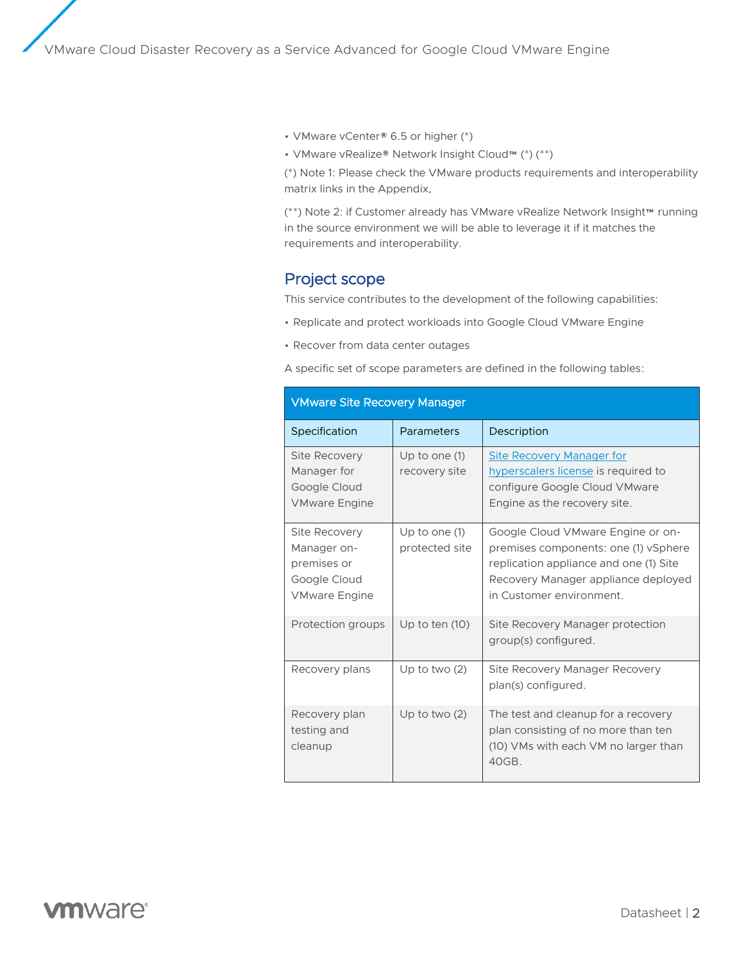• VMware vCenter® 6.5 or higher (\*)

• VMware vRealize® Network Insight Cloud™ (\*) (\*\*)

(\*) Note 1: Please check the VMware products requirements and interoperability matrix links in the Appendix.

(\*\*) Note 2: if Customer already has VMware vRealize Network Insight™ running in the source environment we will be able to leverage it if it matches the requirements and interoperability.

### Project scope

This service contributes to the development of the following capabilities:

- Replicate and protect workloads into Google Cloud VMware Engine
- Recover from data center outages

A specific set of scope parameters are defined in the following tables:

| <b>VMware Site Recovery Manager</b>                                                 |                                   |                                                                                                                                                                                        |  |
|-------------------------------------------------------------------------------------|-----------------------------------|----------------------------------------------------------------------------------------------------------------------------------------------------------------------------------------|--|
| Specification                                                                       | Parameters                        | Description                                                                                                                                                                            |  |
| Site Recovery<br>Manager for<br>Google Cloud<br><b>VMware Engine</b>                | Up to one $(1)$<br>recovery site  | <b>Site Recovery Manager for</b><br>hyperscalers license is required to<br>configure Google Cloud VMware<br>Engine as the recovery site.                                               |  |
| Site Recovery<br>Manager on-<br>premises or<br>Google Cloud<br><b>VMware Engine</b> | Up to one $(1)$<br>protected site | Google Cloud VMware Engine or on-<br>premises components: one (1) vSphere<br>replication appliance and one (1) Site<br>Recovery Manager appliance deployed<br>in Customer environment. |  |
| Protection groups                                                                   | Up to ten $(10)$                  | Site Recovery Manager protection<br>group(s) configured.                                                                                                                               |  |
| Recovery plans                                                                      | Up to two $(2)$                   | Site Recovery Manager Recovery<br>plan(s) configured.                                                                                                                                  |  |
| Recovery plan<br>testing and<br>cleanup                                             | Up to two $(2)$                   | The test and cleanup for a recovery<br>plan consisting of no more than ten<br>(10) VMs with each VM no larger than<br>40GB.                                                            |  |

# **vm**ware<sup>®</sup>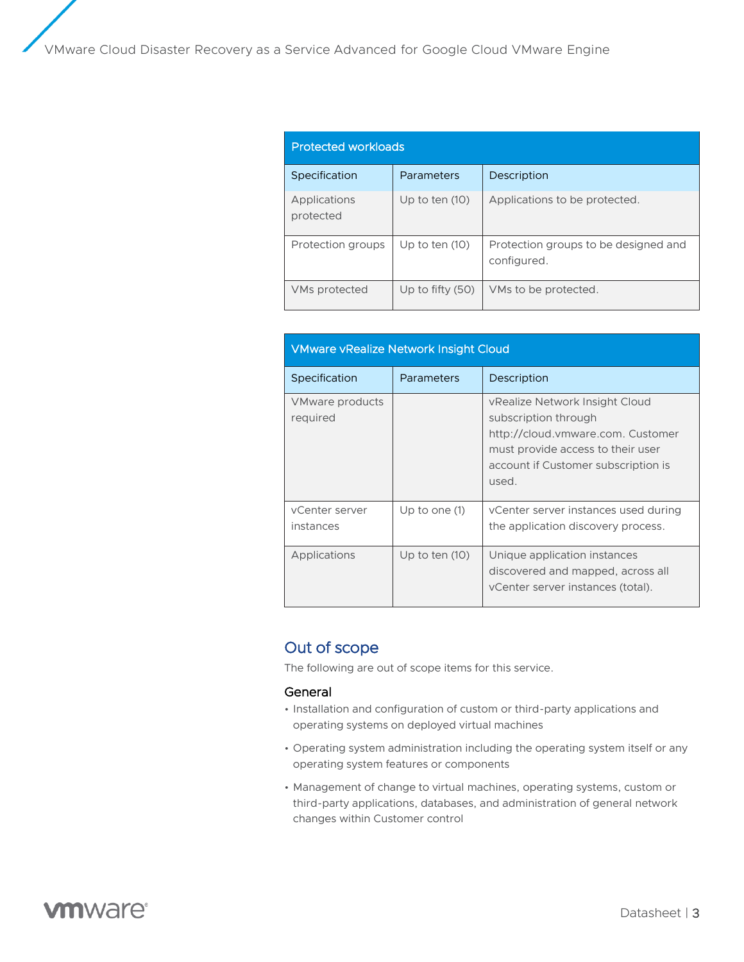| <b>Protected workloads</b> |                    |                                                     |  |
|----------------------------|--------------------|-----------------------------------------------------|--|
| Specification              | Parameters         | Description                                         |  |
| Applications<br>protected  | Up to ten $(10)$   | Applications to be protected.                       |  |
| Protection groups          | Up to ten $(10)$   | Protection groups to be designed and<br>configured. |  |
| VMs protected              | Up to fifty $(50)$ | VMs to be protected.                                |  |

| <b>VMware vRealize Network Insight Cloud</b> |                  |                                                                                                                                                                                  |  |
|----------------------------------------------|------------------|----------------------------------------------------------------------------------------------------------------------------------------------------------------------------------|--|
| Specification                                | Parameters       | Description                                                                                                                                                                      |  |
| VMware products<br>required                  |                  | vRealize Network Insight Cloud<br>subscription through<br>http://cloud.vmware.com. Customer<br>must provide access to their user<br>account if Customer subscription is<br>used. |  |
| vCenter server<br>instances                  | Up to one $(1)$  | vCenter server instances used during<br>the application discovery process.                                                                                                       |  |
| Applications                                 | Up to ten $(10)$ | Unique application instances<br>discovered and mapped, across all<br>vCenter server instances (total).                                                                           |  |

# Out of scope

The following are out of scope items for this service.

#### General

- Installation and configuration of custom or third-party applications and operating systems on deployed virtual machines
- Operating system administration including the operating system itself or any operating system features or components
- Management of change to virtual machines, operating systems, custom or third-party applications, databases, and administration of general network changes within Customer control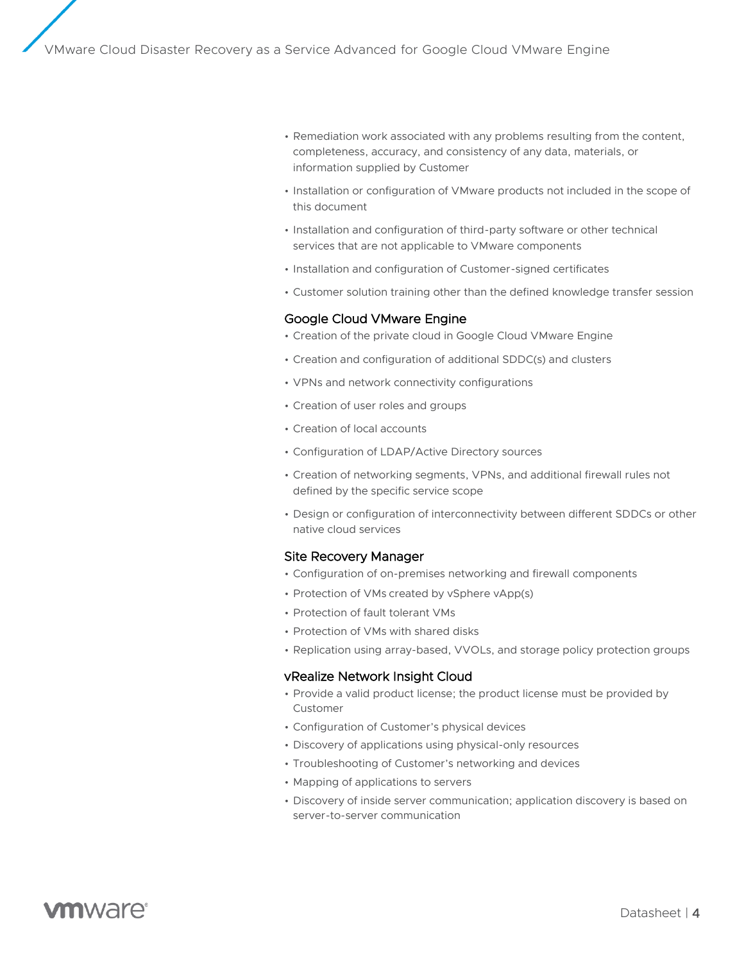- Remediation work associated with any problems resulting from the content, completeness, accuracy, and consistency of any data, materials, or information supplied by Customer
- Installation or configuration of VMware products not included in the scope of this document
- Installation and configuration of third-party software or other technical services that are not applicable to VMware components
- Installation and configuration of Customer-signed certificates
- Customer solution training other than the defined knowledge transfer session

#### Google Cloud VMware Engine

- Creation of the private cloud in Google Cloud VMware Engine
- Creation and configuration of additional SDDC(s) and clusters
- VPNs and network connectivity configurations
- Creation of user roles and groups
- Creation of local accounts
- Configuration of LDAP/Active Directory sources
- Creation of networking segments, VPNs, and additional firewall rules not defined by the specific service scope
- Design or configuration of interconnectivity between different SDDCs or other native cloud services

#### Site Recovery Manager

- Configuration of on-premises networking and firewall components
- Protection of VMs created by vSphere vApp(s)
- Protection of fault tolerant VMs
- Protection of VMs with shared disks
- Replication using array-based, VVOLs, and storage policy protection groups

#### vRealize Network Insight Cloud

- Provide a valid product license; the product license must be provided by Customer
- Configuration of Customer's physical devices
- Discovery of applications using physical-only resources
- Troubleshooting of Customer's networking and devices
- Mapping of applications to servers
- Discovery of inside server communication; application discovery is based on server-to-server communication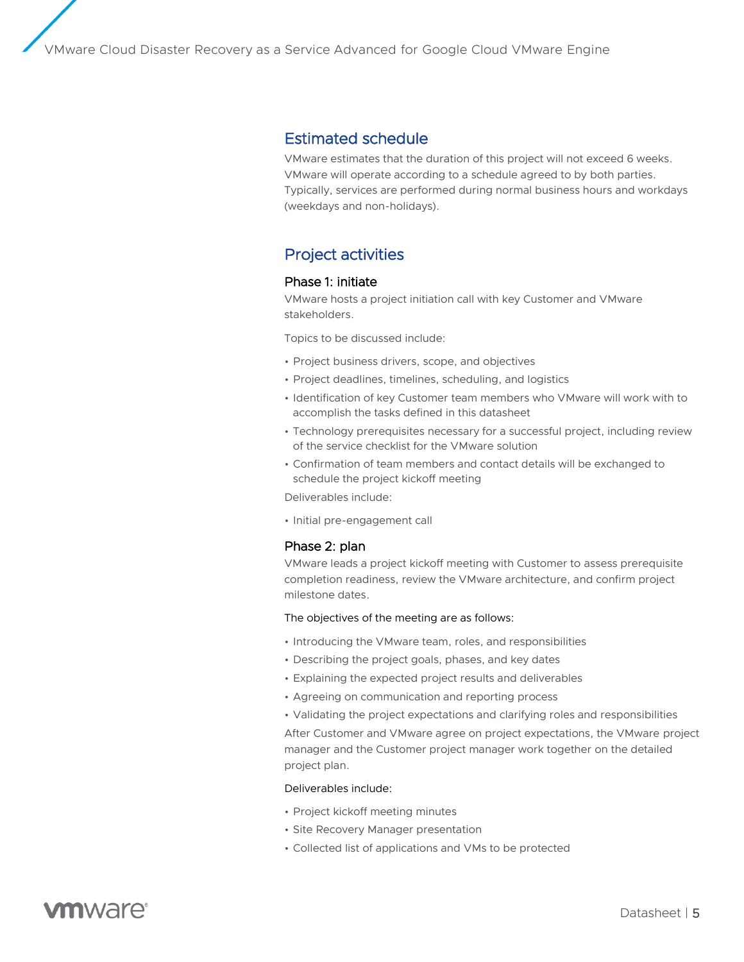### Estimated schedule

VMware estimates that the duration of this project will not exceed 6 weeks. VMware will operate according to a schedule agreed to by both parties. Typically, services are performed during normal business hours and workdays (weekdays and non-holidays).

# Project activities

#### Phase 1: initiate

VMware hosts a project initiation call with key Customer and VMware stakeholders.

Topics to be discussed include:

- Project business drivers, scope, and objectives
- Project deadlines, timelines, scheduling, and logistics
- Identification of key Customer team members who VMware will work with to accomplish the tasks defined in this datasheet
- Technology prerequisites necessary for a successful project, including review of the service checklist for the VMware solution
- Confirmation of team members and contact details will be exchanged to schedule the project kickoff meeting

Deliverables include:

• Initial pre-engagement call

#### Phase 2: plan

VMware leads a project kickoff meeting with Customer to assess prerequisite completion readiness, review the VMware architecture, and confirm project milestone dates.

#### The objectives of the meeting are as follows:

- Introducing the VMware team, roles, and responsibilities
- Describing the project goals, phases, and key dates
- Explaining the expected project results and deliverables
- Agreeing on communication and reporting process
- Validating the project expectations and clarifying roles and responsibilities

After Customer and VMware agree on project expectations, the VMware project manager and the Customer project manager work together on the detailed project plan.

#### Deliverables include:

- Project kickoff meeting minutes
- Site Recovery Manager presentation
- Collected list of applications and VMs to be protected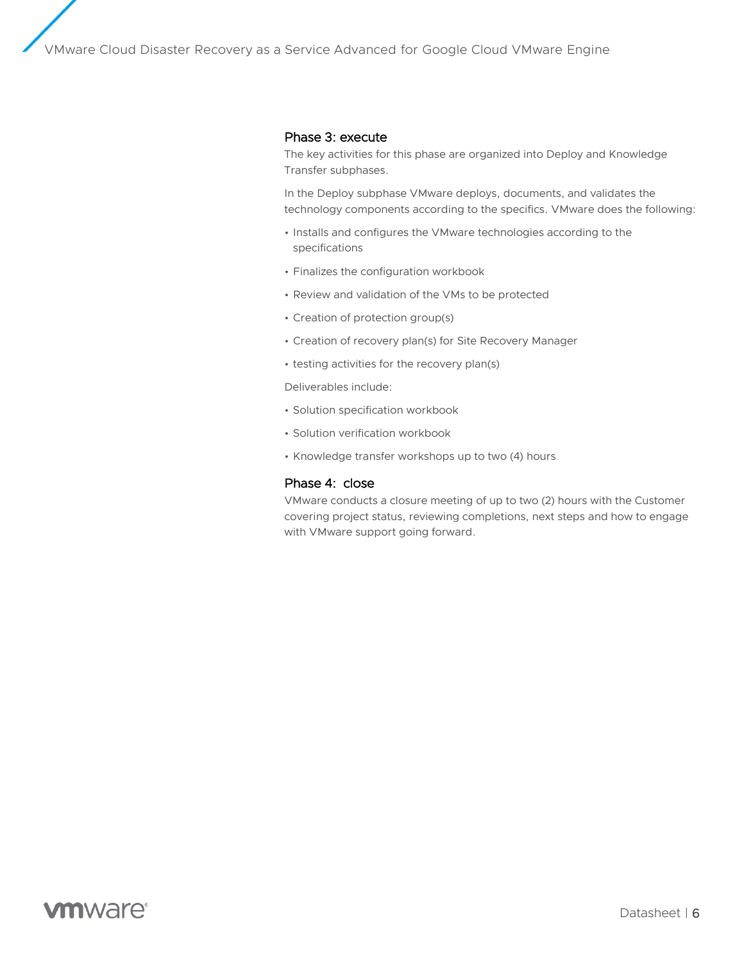#### Phase 3: execute

The key activities for this phase are organized into Deploy and Knowledge Transfer subphases.

In the Deploy subphase VMware deploys, documents, and validates the technology components according to the specifics. VMware does the following:

- Installs and configures the VMware technologies according to the specifications
- Finalizes the configuration workbook
- Review and validation of the VMs to be protected
- Creation of protection group(s)
- Creation of recovery plan(s) for Site Recovery Manager
- testing activities for the recovery plan(s)

Deliverables include:

- Solution specification workbook
- Solution verification workbook
- Knowledge transfer workshops up to two (4) hours

#### Phase 4: close

VMware conducts a closure meeting of up to two (2) hours with the Customer covering project status, reviewing completions, next steps and how to engage with VMware support going forward.

# **vm**ware<sup>®</sup>